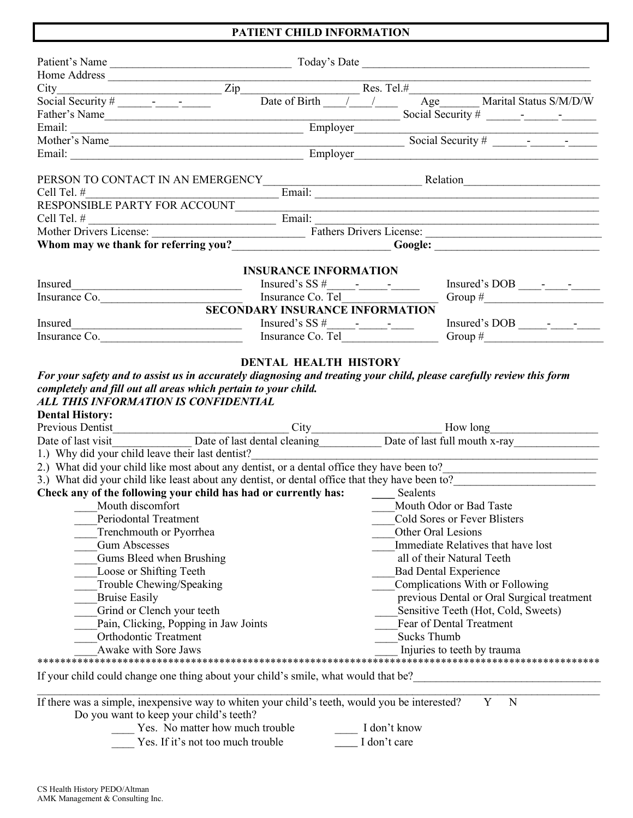## **PATIENT CHILD INFORMATION**

| Home Address $\frac{Zip}{\sqrt{2\pi} \sqrt{2\pi}}$ Res. Tel.#                                  |                                                                 |                                                                |                                                                          |  |  |
|------------------------------------------------------------------------------------------------|-----------------------------------------------------------------|----------------------------------------------------------------|--------------------------------------------------------------------------|--|--|
|                                                                                                |                                                                 |                                                                |                                                                          |  |  |
| Father's Name Employer                                                                         |                                                                 |                                                                |                                                                          |  |  |
|                                                                                                |                                                                 |                                                                |                                                                          |  |  |
| Mother's Name                                                                                  |                                                                 |                                                                |                                                                          |  |  |
|                                                                                                |                                                                 |                                                                | Employer                                                                 |  |  |
| PERSON TO CONTACT IN AN EMERGENCY                                                              |                                                                 |                                                                | <u>Relation Renamed Relation</u>                                         |  |  |
| Cell Tel. #                                                                                    |                                                                 |                                                                |                                                                          |  |  |
| RESPONSIBLE PARTY FOR ACCOUNT                                                                  |                                                                 |                                                                | <u> 1980 - Johann John Stone, markin fizik eta idazlearia (h. 1980).</u> |  |  |
| Cell Tel. $\#$ Email:                                                                          |                                                                 |                                                                |                                                                          |  |  |
|                                                                                                |                                                                 |                                                                |                                                                          |  |  |
|                                                                                                |                                                                 |                                                                |                                                                          |  |  |
|                                                                                                |                                                                 |                                                                |                                                                          |  |  |
| Insured                                                                                        | <b>INSURANCE INFORMATION</b>                                    |                                                                |                                                                          |  |  |
| Insurance Co.                                                                                  | Insurance Co. Tel <b>Figure 1.1 Co. 1.1 Co. 1.1 Co. 1.1 Co.</b> |                                                                | Group $\#$                                                               |  |  |
|                                                                                                | <b>SECONDARY INSURANCE INFORMATION</b>                          |                                                                |                                                                          |  |  |
| Insured                                                                                        |                                                                 |                                                                |                                                                          |  |  |
|                                                                                                |                                                                 |                                                                | Group # $\qquad \qquad$                                                  |  |  |
|                                                                                                |                                                                 |                                                                |                                                                          |  |  |
|                                                                                                |                                                                 |                                                                |                                                                          |  |  |
| 1.) Why did your child leave their last dentist?                                               |                                                                 |                                                                |                                                                          |  |  |
| 2.) What did your child like most about any dentist, or a dental office they have been to?     |                                                                 |                                                                |                                                                          |  |  |
| 3.) What did your child like least about any dentist, or dental office that they have been to? |                                                                 |                                                                |                                                                          |  |  |
| Check any of the following your child has had or currently has:                                |                                                                 | Sealents                                                       |                                                                          |  |  |
| Mouth discomfort                                                                               |                                                                 |                                                                |                                                                          |  |  |
| Periodontal Treatment                                                                          |                                                                 | Mouth Odor or Bad Taste<br><b>Cold Sores or Fever Blisters</b> |                                                                          |  |  |
| Trenchmouth or Pyorrhea                                                                        |                                                                 |                                                                | Other Oral Lesions                                                       |  |  |
| <b>Gum Abscesses</b>                                                                           |                                                                 |                                                                | Immediate Relatives that have lost                                       |  |  |
| Gums Bleed when Brushing                                                                       |                                                                 |                                                                | all of their Natural Teeth                                               |  |  |
| Loose or Shifting Teeth                                                                        |                                                                 | <b>Bad Dental Experience</b>                                   |                                                                          |  |  |
| Trouble Chewing/Speaking                                                                       |                                                                 |                                                                | Complications With or Following                                          |  |  |
| <b>Bruise Easily</b>                                                                           |                                                                 |                                                                | previous Dental or Oral Surgical treatment                               |  |  |
| Grind or Clench your teeth                                                                     |                                                                 |                                                                | Sensitive Teeth (Hot, Cold, Sweets)                                      |  |  |
| Pain, Clicking, Popping in Jaw Joints                                                          |                                                                 |                                                                | Fear of Dental Treatment                                                 |  |  |
| <b>Orthodontic Treatment</b>                                                                   |                                                                 | <b>Sucks Thumb</b>                                             |                                                                          |  |  |
| Awake with Sore Jaws                                                                           |                                                                 |                                                                | Injuries to teeth by trauma                                              |  |  |
|                                                                                                |                                                                 |                                                                |                                                                          |  |  |
| If your child could change one thing about your child's smile, what would that be?             |                                                                 |                                                                |                                                                          |  |  |
| If there was a simple, inexpensive way to whiten your child's teeth, would you be interested?  |                                                                 |                                                                | N<br>Y                                                                   |  |  |
| Do you want to keep your child's teeth?                                                        |                                                                 |                                                                |                                                                          |  |  |
| Yes. No matter how much trouble                                                                |                                                                 | I don't know                                                   |                                                                          |  |  |
| Yes. If it's not too much trouble                                                              |                                                                 | I don't care                                                   |                                                                          |  |  |